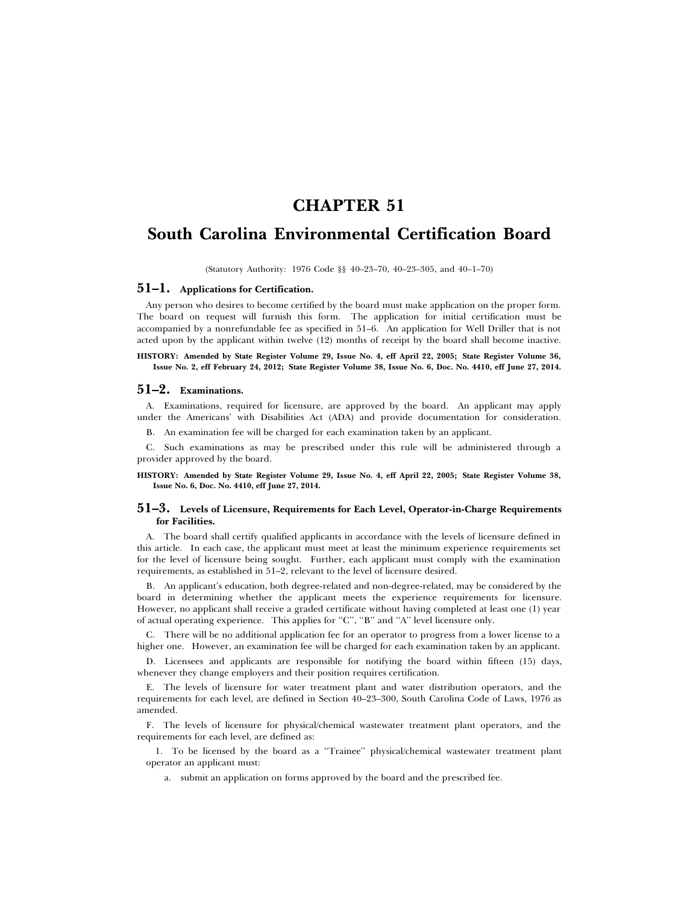# **CHAPTER 51**

# **South Carolina Environmental Certification Board**

(Statutory Authority: 1976 Code §§ 40–23–70, 40–23–305, and 40–1–70)

### **51–1. Applications for Certification.**

Any person who desires to become certified by the board must make application on the proper form. The board on request will furnish this form. The application for initial certification must be accompanied by a nonrefundable fee as specified in 51–6. An application for Well Driller that is not acted upon by the applicant within twelve (12) months of receipt by the board shall become inactive.

#### **HISTORY: Amended by State Register Volume 29, Issue No. 4, eff April 22, 2005; State Register Volume 36, Issue No. 2, eff February 24, 2012; State Register Volume 38, Issue No. 6, Doc. No. 4410, eff June 27, 2014.**

#### **51–2. Examinations.**

A. Examinations, required for licensure, are approved by the board. An applicant may apply under the Americans' with Disabilities Act (ADA) and provide documentation for consideration.

B. An examination fee will be charged for each examination taken by an applicant.

C. Such examinations as may be prescribed under this rule will be administered through a provider approved by the board.

**HISTORY: Amended by State Register Volume 29, Issue No. 4, eff April 22, 2005; State Register Volume 38, Issue No. 6, Doc. No. 4410, eff June 27, 2014.**

### **51–3. Levels of Licensure, Requirements for Each Level, Operator-in-Charge Requirements for Facilities.**

A. The board shall certify qualified applicants in accordance with the levels of licensure defined in this article. In each case, the applicant must meet at least the minimum experience requirements set for the level of licensure being sought. Further, each applicant must comply with the examination requirements, as established in 51–2, relevant to the level of licensure desired.

B. An applicant's education, both degree-related and non-degree-related, may be considered by the board in determining whether the applicant meets the experience requirements for licensure. However, no applicant shall receive a graded certificate without having completed at least one (1) year of actual operating experience. This applies for "C", "B" and "A" level licensure only.

C. There will be no additional application fee for an operator to progress from a lower license to a higher one. However, an examination fee will be charged for each examination taken by an applicant.

D. Licensees and applicants are responsible for notifying the board within fifteen (15) days, whenever they change employers and their position requires certification.

E. The levels of licensure for water treatment plant and water distribution operators, and the requirements for each level, are defined in Section 40–23–300, South Carolina Code of Laws, 1976 as amended.

F. The levels of licensure for physical/chemical wastewater treatment plant operators, and the requirements for each level, are defined as:

1. To be licensed by the board as a ''Trainee'' physical/chemical wastewater treatment plant operator an applicant must:

a. submit an application on forms approved by the board and the prescribed fee.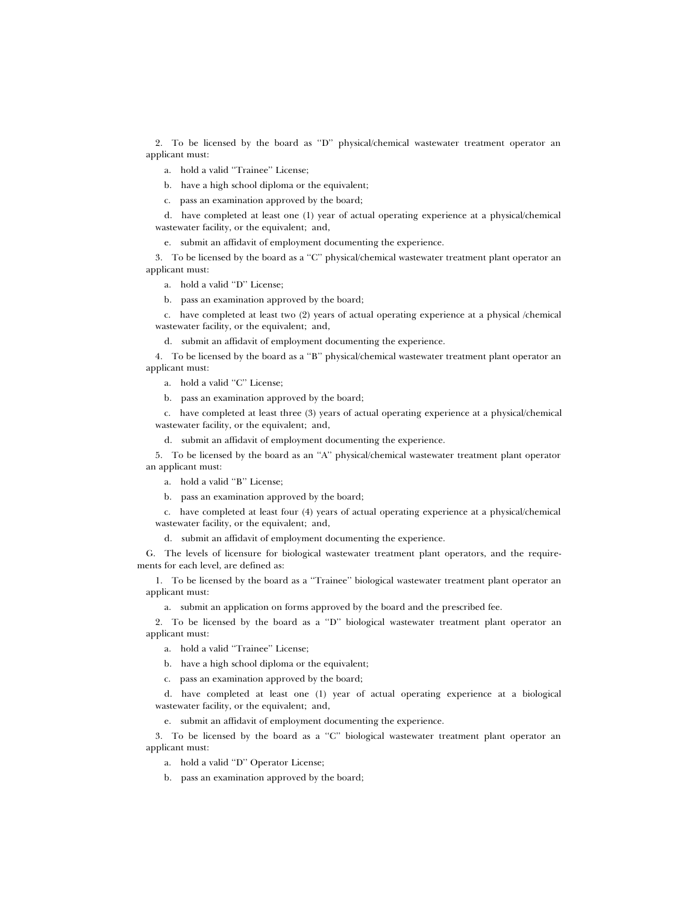2. To be licensed by the board as ''D'' physical/chemical wastewater treatment operator an applicant must:

a. hold a valid ''Trainee'' License;

b. have a high school diploma or the equivalent;

c. pass an examination approved by the board;

d. have completed at least one (1) year of actual operating experience at a physical/chemical wastewater facility, or the equivalent; and,

e. submit an affidavit of employment documenting the experience.

3. To be licensed by the board as a ''C'' physical/chemical wastewater treatment plant operator an applicant must:

a. hold a valid ''D'' License;

b. pass an examination approved by the board;

c. have completed at least two (2) years of actual operating experience at a physical /chemical wastewater facility, or the equivalent; and,

d. submit an affidavit of employment documenting the experience.

4. To be licensed by the board as a ''B'' physical/chemical wastewater treatment plant operator an applicant must:

a. hold a valid ''C'' License;

b. pass an examination approved by the board;

c. have completed at least three (3) years of actual operating experience at a physical/chemical wastewater facility, or the equivalent; and,

d. submit an affidavit of employment documenting the experience.

5. To be licensed by the board as an ''A'' physical/chemical wastewater treatment plant operator an applicant must:

a. hold a valid ''B'' License;

b. pass an examination approved by the board;

c. have completed at least four (4) years of actual operating experience at a physical/chemical wastewater facility, or the equivalent; and,

d. submit an affidavit of employment documenting the experience.

G. The levels of licensure for biological wastewater treatment plant operators, and the requirements for each level, are defined as:

1. To be licensed by the board as a ''Trainee'' biological wastewater treatment plant operator an applicant must:

a. submit an application on forms approved by the board and the prescribed fee.

2. To be licensed by the board as a ''D'' biological wastewater treatment plant operator an applicant must:

a. hold a valid ''Trainee'' License;

b. have a high school diploma or the equivalent;

c. pass an examination approved by the board;

d. have completed at least one (1) year of actual operating experience at a biological wastewater facility, or the equivalent; and,

e. submit an affidavit of employment documenting the experience.

3. To be licensed by the board as a ''C'' biological wastewater treatment plant operator an applicant must:

a. hold a valid ''D'' Operator License;

b. pass an examination approved by the board;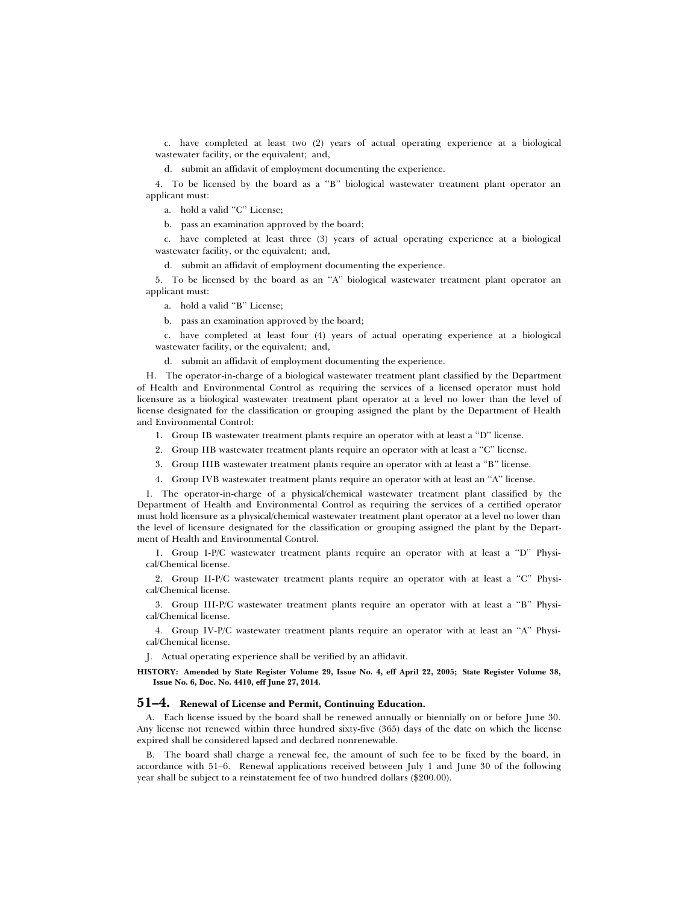c. have completed at least two (2) years of actual operating experience at a biological wastewater facility, or the equivalent; and,

d. submit an affidavit of employment documenting the experience.

4. To be licensed by the board as a ''B'' biological wastewater treatment plant operator an applicant must:

a. hold a valid ''C'' License;

b. pass an examination approved by the board;

c. have completed at least three (3) years of actual operating experience at a biological wastewater facility, or the equivalent; and,

d. submit an affidavit of employment documenting the experience.

5. To be licensed by the board as an ''A'' biological wastewater treatment plant operator an applicant must:

a. hold a valid ''B'' License;

b. pass an examination approved by the board;

c. have completed at least four (4) years of actual operating experience at a biological wastewater facility, or the equivalent; and,

d. submit an affidavit of employment documenting the experience.

H. The operator-in-charge of a biological wastewater treatment plant classified by the Department of Health and Environmental Control as requiring the services of a licensed operator must hold licensure as a biological wastewater treatment plant operator at a level no lower than the level of license designated for the classification or grouping assigned the plant by the Department of Health and Environmental Control:

1. Group IB wastewater treatment plants require an operator with at least a ''D'' license.

2. Group IIB wastewater treatment plants require an operator with at least a ''C'' license.

3. Group IIIB wastewater treatment plants require an operator with at least a ''B'' license.

4. Group IVB wastewater treatment plants require an operator with at least an ''A'' license.

I. The operator-in-charge of a physical/chemical wastewater treatment plant classified by the Department of Health and Environmental Control as requiring the services of a certified operator must hold licensure as a physical/chemical wastewater treatment plant operator at a level no lower than the level of licensure designated for the classification or grouping assigned the plant by the Department of Health and Environmental Control.

1. Group I-P/C wastewater treatment plants require an operator with at least a ''D'' Physical/Chemical license.

2. Group II-P/C wastewater treatment plants require an operator with at least a ''C'' Physical/Chemical license.

3. Group III-P/C wastewater treatment plants require an operator with at least a ''B'' Physical/Chemical license.

4. Group IV-P/C wastewater treatment plants require an operator with at least an ''A'' Physical/Chemical license.

J. Actual operating experience shall be verified by an affidavit.

**HISTORY: Amended by State Register Volume 29, Issue No. 4, eff April 22, 2005; State Register Volume 38, Issue No. 6, Doc. No. 4410, eff June 27, 2014.**

#### **51–4. Renewal of License and Permit, Continuing Education.**

A. Each license issued by the board shall be renewed annually or biennially on or before June 30. Any license not renewed within three hundred sixty-five (365) days of the date on which the license expired shall be considered lapsed and declared nonrenewable.

B. The board shall charge a renewal fee, the amount of such fee to be fixed by the board, in accordance with 51–6. Renewal applications received between July 1 and June 30 of the following year shall be subject to a reinstatement fee of two hundred dollars (\$200.00).